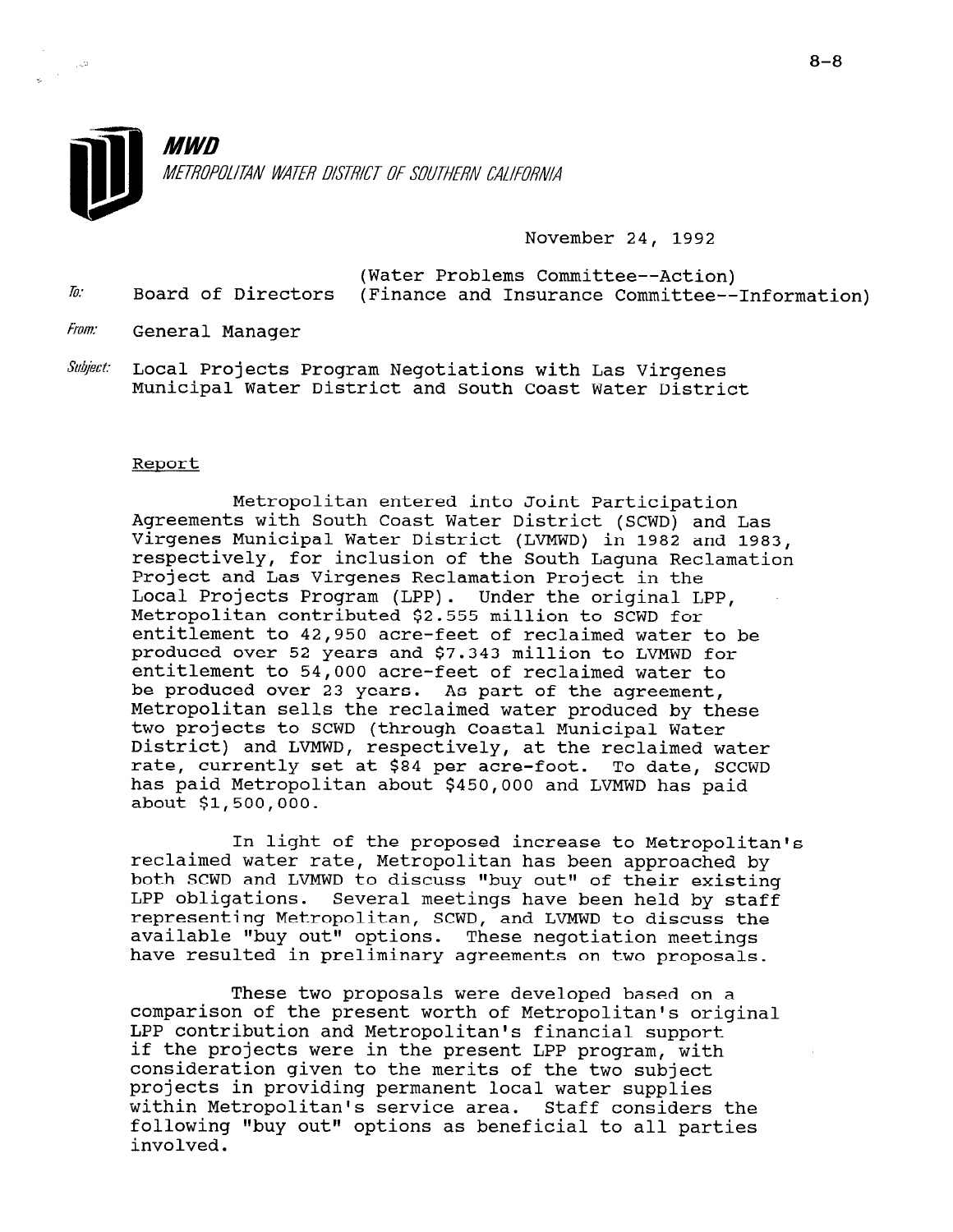

November 24, 1992

(Water Problems Committee--Action)  $\bar{h}$ : Board of Directors (Finance and Insurance Committee--Information)

- From: General Manager
- $\textit{Subject:}$  Local Projects Program Negotiations with Las Virgenes Municipal Water District and South Coast Water District

### Report

Metropolitan entered into Joint Participation Agreements with South Coast Water District (SCWD) and Las Virgenes Municipal Water District (LVMWD) in 1982 and 1983, respectively, for inclusion of the South Laguna Reclamation Project and Las Virgenes Reclamation Project in the Local Projects Program (LPP). Under the original LPP, Metropolitan contributed \$2.555 million to SCWD for entitlement to 42,950 acre-feet of reclaimed water to be produced over 52 years and \$7.343 million to LVMWD for entitlement to 54,000 acre-feet of reclaimed water to be produced over 23 years. As part of the agreement, Metropolitan sells the reclaimed water produced by these two projects to SCWD (through Coastal Municipal Water District) and LVMWD, respectively, at the reclaimed water rate, currently set at \$84 per acre-foot. To date, SCCWD has paid Metropolitan about \$450,000 and LVMWD has paid about \$1,500,000.

In light of the proposed increase to Metropolitan's reclaimed water rate, Metropolitan has been approached by both SCWD and LVMWD to discuss "buy out" of their existing LPP obligations. Several meetings have been held by staff representing Metropolitan, SCWD, and LVMWD to discuss the representing metroporitan, stwp, and hymnp to discuss available "buy out" options. These negotiation meeting

These two proposals were developed based on a comparison of the present worth of Metropolitan's original LPP contribution and Metropolitan's financial support LPP contribution and Metropolitan's financial support if the projects were in the present LPP program, with consideration given to the merits of the two subject projects in providing permanent local water supplies within Metropolitan's service area. Staff considers the following "buy out" options as beneficial to all parties involved.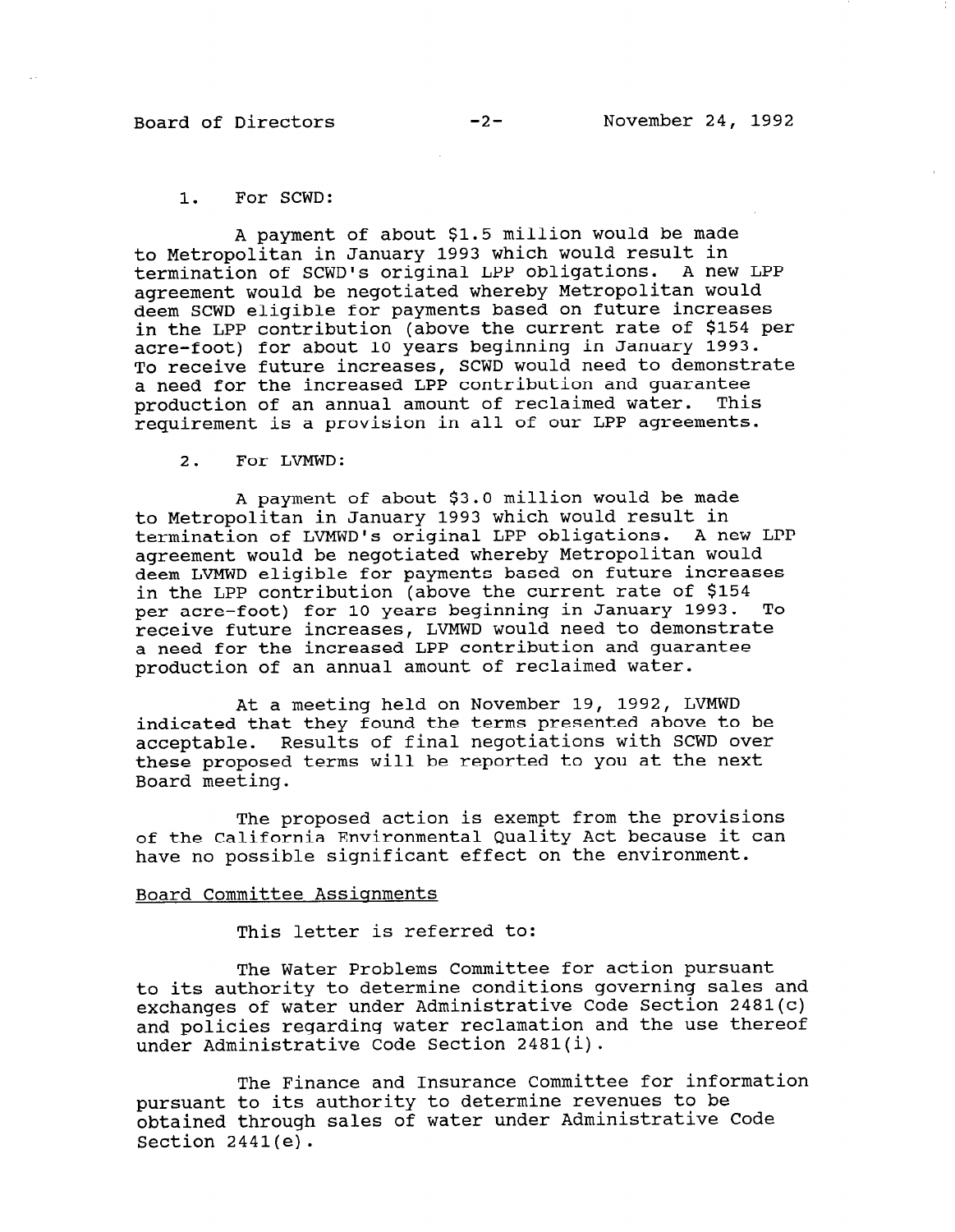## Board of Directors -2- November 24, 1992

### 1. For SCWD:

A payment of about \$1.5 million would be made to Metropolitan in January 1993 which would result in termination of SCWD's original LPP obligations. A new LPP agreement would be negotiated whereby Metropolitan would deem SCWD eligible for payments based on future increases in the LPP contribution (above the current rate of \$154 per acre-foot) for about 10 years beginning in January 1993. To receive future increases, SCWD would need to demonstrate a need for the increased LPP contribution and guarantee production of an annual amount of reclaimed water. This requirement is a provision in all of our LPP agreements.

2. For LVMWD:

A payment of about \$3.0 million would be made to Metropolitan in January 1993 which would result in termination of LVMWD's original LPP obligations. A new LPP agreement would be negotiated whereby Metropolitan would deem LVMWD eligible for payments based on future increases in the LPP contribution (above the current rate of \$154 per acre-foot) for 10 years beginning in January 1993. To receive future increases, LVMWD would need to demonstrate a need for the increased LPP contribution and guarantee production of an annual amount of reclaimed water.

At a meeting held on November 19, 1992, LVMWD indicated that they found the terms presented above to be acceptable. Results of final negotiations with SCWD over these proposed terms will be reported to you at the next Board meeting.

The proposed action is exempt from the provisions of the California Environmental Quality Act because it can have no possible significant effect on the environment.

## Board Committee Assignments

This letter is referred to:

The Water Problems Committee for action pursuant to its authority to determine conditions governing sales and exchanges of water under Administrative Code Section 2481(c) and policies regarding water reclamation and the use thereof under Administrative Code Section 2481(i).

The Finance and Insurance Committee for information pursuant to its authority to determine revenues to be pursuant to its authority to acternant revenues to so Section 2441(e).